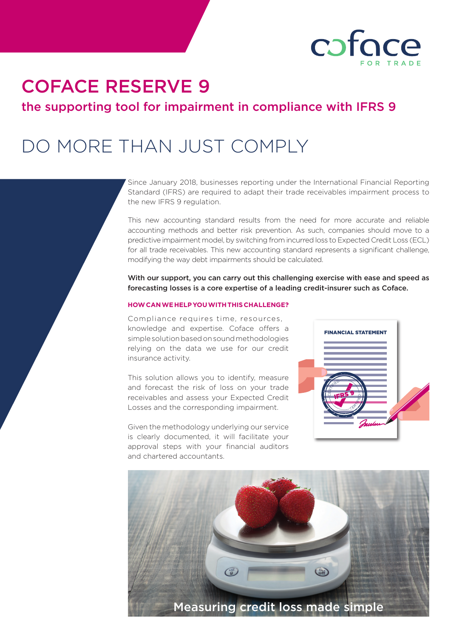

# COFACE RESERVE 9

the supporting tool for impairment in compliance with IFRS 9

# DO MORE THAN JUST COMPLY

Since January 2018, businesses reporting under the International Financial Reporting Standard (IFRS) are required to adapt their trade receivables impairment process to the new IFRS 9 regulation.

This new accounting standard results from the need for more accurate and reliable accounting methods and better risk prevention. As such, companies should move to a predictive impairment model, by switching from incurred loss to Expected Credit Loss (ECL) for all trade receivables. This new accounting standard represents a significant challenge, modifying the way debt impairments should be calculated.

With our support, you can carry out this challenging exercise with ease and speed as forecasting losses is a core expertise of a leading credit-insurer such as Coface.

#### **HOW CAN WE HELP YOU WITH THIS CHALLENGE?**

Compliance requires time, resources, knowledge and expertise. Coface offers a simple solution based on sound methodologies relying on the data we use for our credit insurance activity.

This solution allows you to identify, measure and forecast the risk of loss on your trade receivables and assess your Expected Credit Losses and the corresponding impairment.

Given the methodology underlying our service is clearly documented, it will facilitate your approval steps with your financial auditors and chartered accountants.